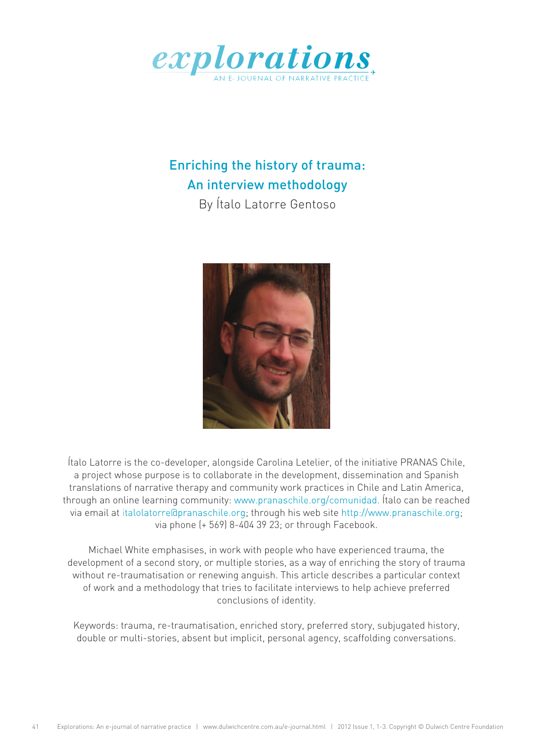

# Enriching the history of trauma: An interview methodology

By Ítalo Latorre Gentoso



Ítalo Latorre is the co-developer, alongside Carolina Letelier, of the initiative PRANAS Chile, a project whose purpose is to collaborate in the development, dissemination and Spanish translations of narrative therapy and community work practices in Chile and Latin America, through an online learning community: [www.pranaschile.org/comunidad.](http://www.pranaschile.org/comunidad) Ítalo can be reached via email at [italolatorre@pranaschile.org;](mailto:italolatorre%40pranaschile.org?subject=) through his web site [http://www.pranaschile.org;](http://www.pranaschile.org) via phone (+ 569) 8-404 39 23; or through Facebook.

Michael White emphasises, in work with people who have experienced trauma, the development of a second story, or multiple stories, as a way of enriching the story of trauma without re-traumatisation or renewing anguish. This article describes a particular context of work and a methodology that tries to facilitate interviews to help achieve preferred conclusions of identity.

Keywords: trauma, re-traumatisation, enriched story, preferred story, subjugated history, double or multi-stories, absent but implicit, personal agency, scaffolding conversations.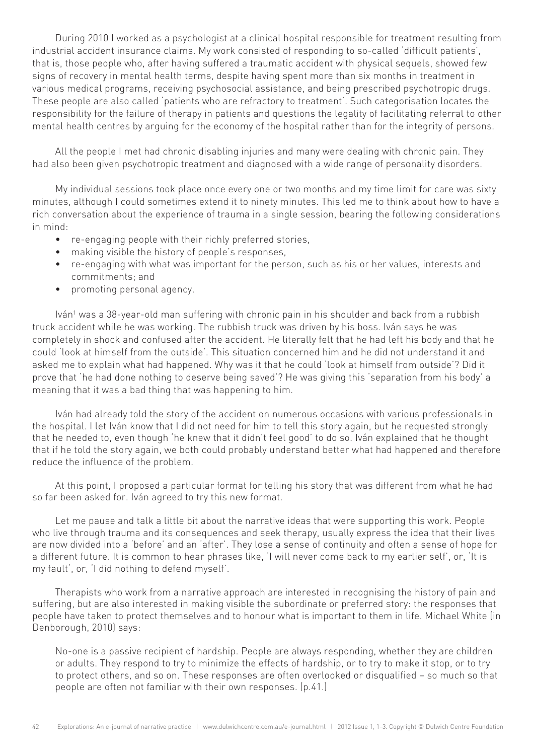During 2010 I worked as a psychologist at a clinical hospital responsible for treatment resulting from industrial accident insurance claims. My work consisted of responding to so-called 'difficult patients', that is, those people who, after having suffered a traumatic accident with physical sequels, showed few signs of recovery in mental health terms, despite having spent more than six months in treatment in various medical programs, receiving psychosocial assistance, and being prescribed psychotropic drugs. These people are also called 'patients who are refractory to treatment'. Such categorisation locates the responsibility for the failure of therapy in patients and questions the legality of facilitating referral to other mental health centres by arguing for the economy of the hospital rather than for the integrity of persons.

All the people I met had chronic disabling injuries and many were dealing with chronic pain. They had also been given psychotropic treatment and diagnosed with a wide range of personality disorders.

My individual sessions took place once every one or two months and my time limit for care was sixty minutes, although I could sometimes extend it to ninety minutes. This led me to think about how to have a rich conversation about the experience of trauma in a single session, bearing the following considerations in mind:

- • re-engaging people with their richly preferred stories,
- making visible the history of people's responses,
- • re-engaging with what was important for the person, such as his or her values, interests and commitments; and
- • promoting personal agency.

lván<sup>1</sup> was a 38-year-old man suffering with chronic pain in his shoulder and back from a rubbish truck accident while he was working. The rubbish truck was driven by his boss. Iván says he was completely in shock and confused after the accident. He literally felt that he had left his body and that he could 'look at himself from the outside'. This situation concerned him and he did not understand it and asked me to explain what had happened. Why was it that he could 'look at himself from outside'? Did it prove that 'he had done nothing to deserve being saved'? He was giving this 'separation from his body' a meaning that it was a bad thing that was happening to him.

Iván had already told the story of the accident on numerous occasions with various professionals in the hospital. I let Iván know that I did not need for him to tell this story again, but he requested strongly that he needed to, even though 'he knew that it didn't feel good' to do so. Iván explained that he thought that if he told the story again, we both could probably understand better what had happened and therefore reduce the influence of the problem.

At this point, I proposed a particular format for telling his story that was different from what he had so far been asked for. Iván agreed to try this new format.

Let me pause and talk a little bit about the narrative ideas that were supporting this work. People who live through trauma and its consequences and seek therapy, usually express the idea that their lives are now divided into a 'before' and an 'after'. They lose a sense of continuity and often a sense of hope for a different future. It is common to hear phrases like, 'I will never come back to my earlier self', or, 'It is my fault', or, 'I did nothing to defend myself'.

Therapists who work from a narrative approach are interested in recognising the history of pain and suffering, but are also interested in making visible the subordinate or preferred story: the responses that people have taken to protect themselves and to honour what is important to them in life. Michael White (in Denborough, 2010) says:

No-one is a passive recipient of hardship. People are always responding, whether they are children or adults. They respond to try to minimize the effects of hardship, or to try to make it stop, or to try to protect others, and so on. These responses are often overlooked or disqualified – so much so that people are often not familiar with their own responses. (p.41.)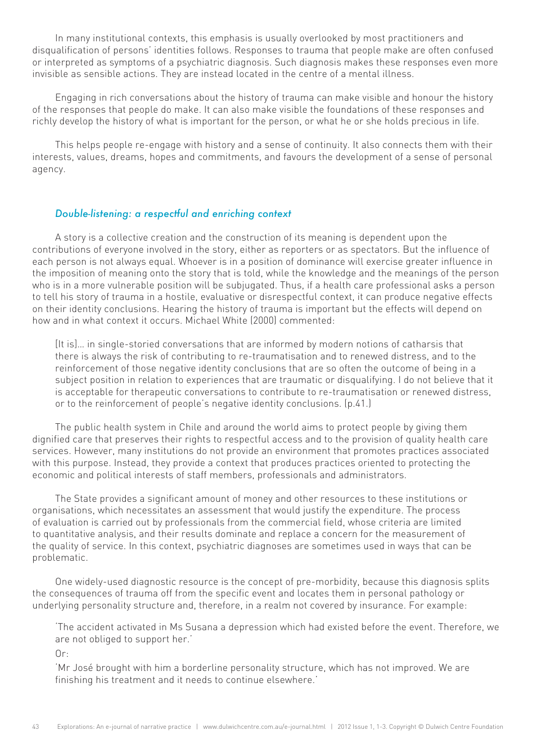In many institutional contexts, this emphasis is usually overlooked by most practitioners and disqualification of persons' identities follows. Responses to trauma that people make are often confused or interpreted as symptoms of a psychiatric diagnosis. Such diagnosis makes these responses even more invisible as sensible actions. They are instead located in the centre of a mental illness.

Engaging in rich conversations about the history of trauma can make visible and honour the history of the responses that people do make. It can also make visible the foundations of these responses and richly develop the history of what is important for the person, or what he or she holds precious in life.

This helps people re-engage with history and a sense of continuity. It also connects them with their interests, values, dreams, hopes and commitments, and favours the development of a sense of personal agency.

## *Double-listening: a respectful and enriching context*

A story is a collective creation and the construction of its meaning is dependent upon the contributions of everyone involved in the story, either as reporters or as spectators. But the influence of each person is not always equal. Whoever is in a position of dominance will exercise greater influence in the imposition of meaning onto the story that is told, while the knowledge and the meanings of the person who is in a more vulnerable position will be subjugated. Thus, if a health care professional asks a person to tell his story of trauma in a hostile, evaluative or disrespectful context, it can produce negative effects on their identity conclusions. Hearing the history of trauma is important but the effects will depend on how and in what context it occurs. Michael White (2000) commented:

[It is]… in single-storied conversations that are informed by modern notions of catharsis that there is always the risk of contributing to re-traumatisation and to renewed distress, and to the reinforcement of those negative identity conclusions that are so often the outcome of being in a subject position in relation to experiences that are traumatic or disqualifying. I do not believe that it is acceptable for therapeutic conversations to contribute to re-traumatisation or renewed distress, or to the reinforcement of people's negative identity conclusions. (p.41.)

The public health system in Chile and around the world aims to protect people by giving them dignified care that preserves their rights to respectful access and to the provision of quality health care services. However, many institutions do not provide an environment that promotes practices associated with this purpose. Instead, they provide a context that produces practices oriented to protecting the economic and political interests of staff members, professionals and administrators.

The State provides a significant amount of money and other resources to these institutions or organisations, which necessitates an assessment that would justify the expenditure. The process of evaluation is carried out by professionals from the commercial field, whose criteria are limited to quantitative analysis, and their results dominate and replace a concern for the measurement of the quality of service. In this context, psychiatric diagnoses are sometimes used in ways that can be problematic.

One widely-used diagnostic resource is the concept of pre-morbidity, because this diagnosis splits the consequences of trauma off from the specific event and locates them in personal pathology or underlying personality structure and, therefore, in a realm not covered by insurance. For example:

'The accident activated in Ms Susana a depression which had existed before the event. Therefore, we are not obliged to support her.'

Or:

'Mr José brought with him a borderline personality structure, which has not improved. We are finishing his treatment and it needs to continue elsewhere.'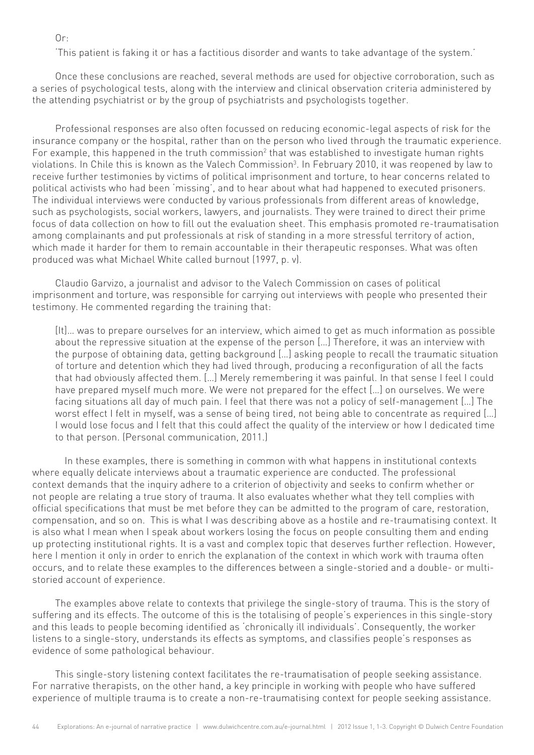$0r:$ 

'This patient is faking it or has a factitious disorder and wants to take advantage of the system.'

Once these conclusions are reached, several methods are used for objective corroboration, such as a series of psychological tests, along with the interview and clinical observation criteria administered by the attending psychiatrist or by the group of psychiatrists and psychologists together.

Professional responses are also often focussed on reducing economic-legal aspects of risk for the insurance company or the hospital, rather than on the person who lived through the traumatic experience. For example, this happened in the truth commission<sup>2</sup> that was established to investigate human rights violations. In Chile this is known as the Valech Commission<sup>3</sup>. In February 2010, it was reopened by law to receive further testimonies by victims of political imprisonment and torture, to hear concerns related to political activists who had been 'missing', and to hear about what had happened to executed prisoners. The individual interviews were conducted by various professionals from different areas of knowledge, such as psychologists, social workers, lawyers, and journalists. They were trained to direct their prime focus of data collection on how to fill out the evaluation sheet. This emphasis promoted re-traumatisation among complainants and put professionals at risk of standing in a more stressful territory of action, which made it harder for them to remain accountable in their therapeutic responses. What was often produced was what Michael White called burnout (1997, p. v).

Claudio Garvizo, a journalist and advisor to the Valech Commission on cases of political imprisonment and torture, was responsible for carrying out interviews with people who presented their testimony. He commented regarding the training that:

[It]… was to prepare ourselves for an interview, which aimed to get as much information as possible about the repressive situation at the expense of the person […] Therefore, it was an interview with the purpose of obtaining data, getting background […] asking people to recall the traumatic situation of torture and detention which they had lived through, producing a reconfiguration of all the facts that had obviously affected them. […] Merely remembering it was painful. In that sense I feel I could have prepared myself much more. We were not prepared for the effect […] on ourselves. We were facing situations all day of much pain. I feel that there was not a policy of self-management […] The worst effect I felt in myself, was a sense of being tired, not being able to concentrate as required […] I would lose focus and I felt that this could affect the quality of the interview or how I dedicated time to that person. (Personal communication, 2011.)

In these examples, there is something in common with what happens in institutional contexts where equally delicate interviews about a traumatic experience are conducted. The professional context demands that the inquiry adhere to a criterion of objectivity and seeks to confirm whether or not people are relating a true story of trauma. It also evaluates whether what they tell complies with official specifications that must be met before they can be admitted to the program of care, restoration, compensation, and so on. This is what I was describing above as a hostile and re-traumatising context. It is also what I mean when I speak about workers losing the focus on people consulting them and ending up protecting institutional rights. It is a vast and complex topic that deserves further reflection. However, here I mention it only in order to enrich the explanation of the context in which work with trauma often occurs, and to relate these examples to the differences between a single-storied and a double- or multistoried account of experience.

The examples above relate to contexts that privilege the single-story of trauma. This is the story of suffering and its effects. The outcome of this is the totalising of people's experiences in this single-story and this leads to people becoming identified as 'chronically ill individuals'. Consequently, the worker listens to a single-story, understands its effects as symptoms, and classifies people's responses as evidence of some pathological behaviour.

This single-story listening context facilitates the re-traumatisation of people seeking assistance. For narrative therapists, on the other hand, a key principle in working with people who have suffered experience of multiple trauma is to create a non-re-traumatising context for people seeking assistance.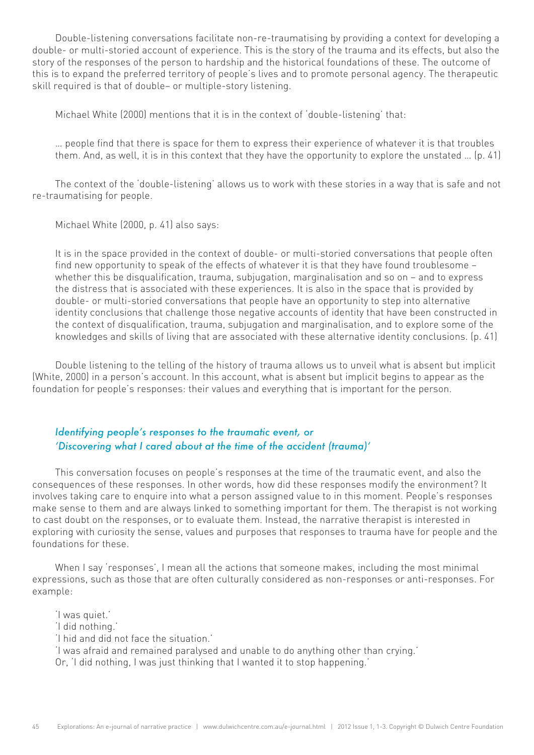Double-listening conversations facilitate non-re-traumatising by providing a context for developing a double- or multi-storied account of experience. This is the story of the trauma and its effects, but also the story of the responses of the person to hardship and the historical foundations of these. The outcome of this is to expand the preferred territory of people's lives and to promote personal agency. The therapeutic skill required is that of double– or multiple-story listening.

Michael White (2000) mentions that it is in the context of 'double-listening' that:

… people find that there is space for them to express their experience of whatever it is that troubles them. And, as well, it is in this context that they have the opportunity to explore the unstated … (p. 41)

The context of the 'double-listening' allows us to work with these stories in a way that is safe and not re-traumatising for people.

Michael White (2000, p. 41) also says:

It is in the space provided in the context of double- or multi-storied conversations that people often find new opportunity to speak of the effects of whatever it is that they have found troublesome – whether this be disqualification, trauma, subjugation, marginalisation and so on – and to express the distress that is associated with these experiences. It is also in the space that is provided by double- or multi-storied conversations that people have an opportunity to step into alternative identity conclusions that challenge those negative accounts of identity that have been constructed in the context of disqualification, trauma, subjugation and marginalisation, and to explore some of the knowledges and skills of living that are associated with these alternative identity conclusions. (p. 41)

Double listening to the telling of the history of trauma allows us to unveil what is absent but implicit (White, 2000) in a person's account. In this account, what is absent but implicit begins to appear as the foundation for people's responses: their values and everything that is important for the person.

## *Identifying people's responses to the traumatic event, or 'Discovering what I cared about at the time of the accident (trauma)'*

This conversation focuses on people's responses at the time of the traumatic event, and also the consequences of these responses. In other words, how did these responses modify the environment? It involves taking care to enquire into what a person assigned value to in this moment. People's responses make sense to them and are always linked to something important for them. The therapist is not working to cast doubt on the responses, or to evaluate them. Instead, the narrative therapist is interested in exploring with curiosity the sense, values and purposes that responses to trauma have for people and the foundations for these.

When I say 'responses', I mean all the actions that someone makes, including the most minimal expressions, such as those that are often culturally considered as non-responses or anti-responses. For example:

'I was quiet.' 'I did nothing.' 'I hid and did not face the situation.' 'I was afraid and remained paralysed and unable to do anything other than crying.' Or, 'I did nothing, I was just thinking that I wanted it to stop happening.'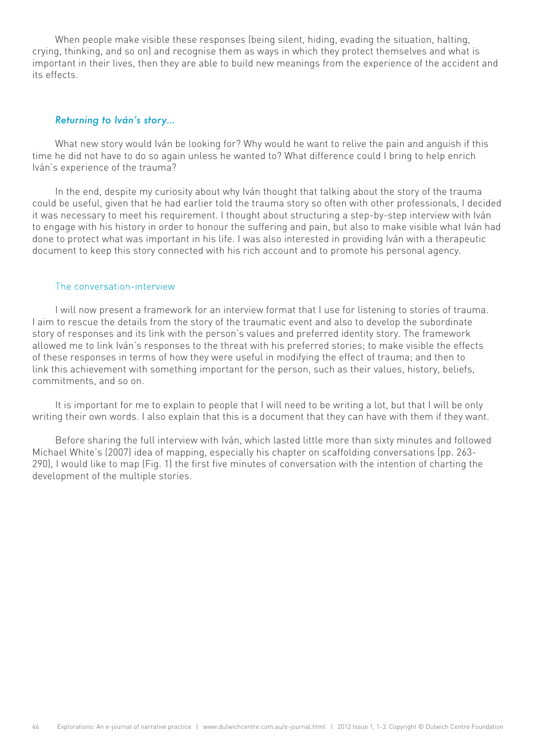When people make visible these responses (being silent, hiding, evading the situation, halting, crying, thinking, and so on) and recognise them as ways in which they protect themselves and what is important in their lives, then they are able to build new meanings from the experience of the accident and its effects.

#### *Returning to Iván's story…*

What new story would Iván be looking for? Why would he want to relive the pain and anguish if this time he did not have to do so again unless he wanted to? What difference could I bring to help enrich Iván's experience of the trauma?

In the end, despite my curiosity about why Iván thought that talking about the story of the trauma could be useful, given that he had earlier told the trauma story so often with other professionals, I decided it was necessary to meet his requirement. I thought about structuring a step-by-step interview with Iván to engage with his history in order to honour the suffering and pain, but also to make visible what Iván had done to protect what was important in his life. I was also interested in providing Iván with a therapeutic document to keep this story connected with his rich account and to promote his personal agency.

#### The conversation-interview

I will now present a framework for an interview format that I use for listening to stories of trauma. I aim to rescue the details from the story of the traumatic event and also to develop the subordinate story of responses and its link with the person's values and preferred identity story. The framework allowed me to link Iván's responses to the threat with his preferred stories; to make visible the effects of these responses in terms of how they were useful in modifying the effect of trauma; and then to link this achievement with something important for the person, such as their values, history, beliefs, commitments, and so on.

It is important for me to explain to people that I will need to be writing a lot, but that I will be only writing their own words. I also explain that this is a document that they can have with them if they want.

Before sharing the full interview with Iván, which lasted little more than sixty minutes and followed Michael White's (2007) idea of mapping, especially his chapter on scaffolding conversations (pp. 263- 290), I would like to map (Fig. 1) the first five minutes of conversation with the intention of charting the development of the multiple stories.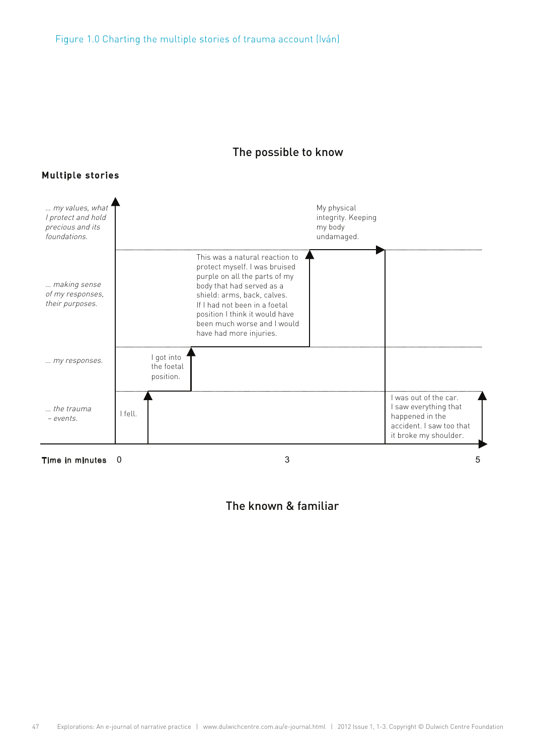





## The known & familiar

## Multiple stories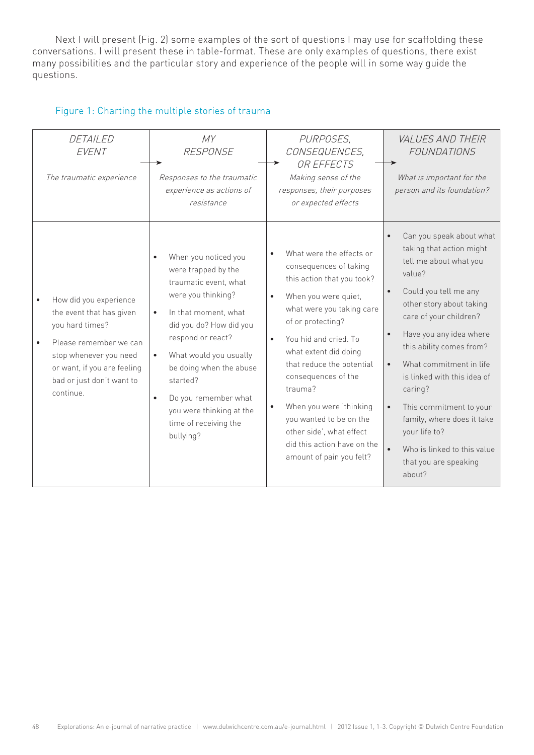Next I will present (Fig. 2) some examples of the sort of questions I may use for scaffolding these conversations. I will present these in table-format. These are only examples of questions, there exist many possibilities and the particular story and experience of the people will in some way guide the questions.

## Figure 1: Charting the multiple stories of trauma

| DETAILED<br>EVENT<br>The traumatic experience                                                                                                                                                      | MY<br><b>RESPONSE</b><br>Responses to the traumatic<br>experience as actions of<br>resistance                                                                                                                                                                                                                                                                        | PURPOSES,<br>CONSEQUENCES,<br>OR EFFECTS<br>Making sense of the<br>responses, their purposes<br>or expected effects                                                                                                                                                                                                                                                                                                                                             | <b>VALUES AND THEIR</b><br>FOUNDATIONS<br>What is important for the<br>person and its foundation?                                                                                                                                                                                                                                                                                                                                                            |
|----------------------------------------------------------------------------------------------------------------------------------------------------------------------------------------------------|----------------------------------------------------------------------------------------------------------------------------------------------------------------------------------------------------------------------------------------------------------------------------------------------------------------------------------------------------------------------|-----------------------------------------------------------------------------------------------------------------------------------------------------------------------------------------------------------------------------------------------------------------------------------------------------------------------------------------------------------------------------------------------------------------------------------------------------------------|--------------------------------------------------------------------------------------------------------------------------------------------------------------------------------------------------------------------------------------------------------------------------------------------------------------------------------------------------------------------------------------------------------------------------------------------------------------|
| How did you experience<br>the event that has given<br>you hard times?<br>Please remember we can<br>stop whenever you need<br>or want, if you are feeling<br>bad or just don't want to<br>continue. | When you noticed you<br>$\bullet$<br>were trapped by the<br>traumatic event, what<br>were you thinking?<br>In that moment, what<br>$\bullet$<br>did you do? How did you<br>respond or react?<br>What would you usually<br>be doing when the abuse<br>started?<br>Do you remember what<br>$\bullet$<br>you were thinking at the<br>time of receiving the<br>bullying? | What were the effects or<br>consequences of taking<br>this action that you took?<br>When you were quiet,<br>$\bullet$<br>what were you taking care<br>of or protecting?<br>You hid and cried. To<br>$\bullet$<br>what extent did doing<br>that reduce the potential<br>consequences of the<br>trauma?<br>When you were 'thinking<br>$\bullet$<br>you wanted to be on the<br>other side', what effect<br>did this action have on the<br>amount of pain you felt? | Can you speak about what<br>$\bullet$<br>taking that action might<br>tell me about what you<br>value?<br>Could you tell me any<br>other story about taking<br>care of your children?<br>Have you any idea where<br>this ability comes from?<br>What commitment in life<br>is linked with this idea of<br>caring?<br>This commitment to your<br>family, where does it take<br>your life to?<br>Who is linked to this value<br>that you are speaking<br>about? |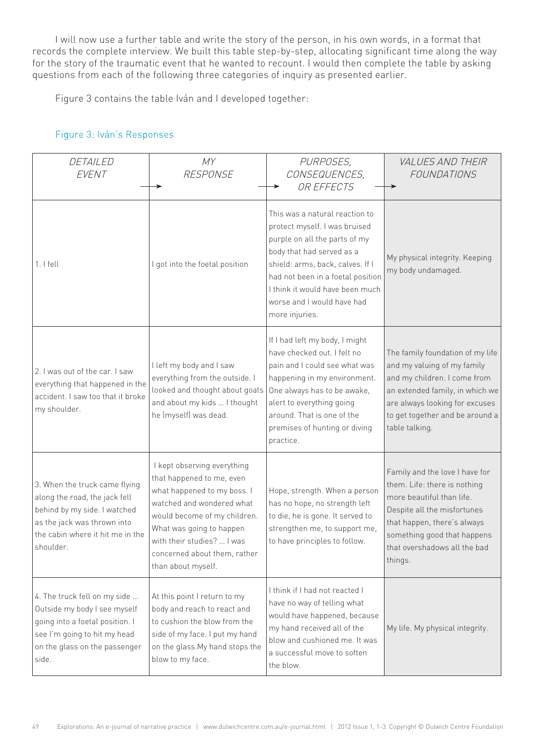I will now use a further table and write the story of the person, in his own words, in a format that records the complete interview. We built this table step-by-step, allocating significant time along the way for the story of the traumatic event that he wanted to recount. I would then complete the table by asking questions from each of the following three categories of inquiry as presented earlier.

Figure 3 contains the table Iván and I developed together:

| DETAILED<br>EVENT                                                                                                                                                              | MY<br><b>RESPONSE</b>                                                                                                                                                                                                                                                | PURPOSES,<br>CONSEQUENCES,<br>OR EFFECTS                                                                                                                                                                                                                                                  | <b>VALUES AND THEIR</b><br><b>FOUNDATIONS</b>                                                                                                                                                                                       |
|--------------------------------------------------------------------------------------------------------------------------------------------------------------------------------|----------------------------------------------------------------------------------------------------------------------------------------------------------------------------------------------------------------------------------------------------------------------|-------------------------------------------------------------------------------------------------------------------------------------------------------------------------------------------------------------------------------------------------------------------------------------------|-------------------------------------------------------------------------------------------------------------------------------------------------------------------------------------------------------------------------------------|
| $1.1$ fell                                                                                                                                                                     | I got into the foetal position                                                                                                                                                                                                                                       | This was a natural reaction to<br>protect myself. I was bruised<br>purple on all the parts of my<br>body that had served as a<br>shield: arms, back, calves. If I<br>had not been in a foetal position<br>I think it would have been much<br>worse and I would have had<br>more injuries. | My physical integrity. Keeping<br>my body undamaged.                                                                                                                                                                                |
| 2. I was out of the car. I saw<br>everything that happened in the<br>accident. I saw too that it broke<br>my shoulder.                                                         | I left my body and I saw<br>everything from the outside. I<br>looked and thought about goats<br>and about my kids  I thought<br>he (myself) was dead.                                                                                                                | If I had left my body, I might<br>have checked out. I felt no<br>pain and I could see what was<br>happening in my environment.<br>One always has to be awake,<br>alert to everything going<br>around. That is one of the<br>premises of hunting or diving<br>practice.                    | The family foundation of my life<br>and my valuing of my family<br>and my children. I come from<br>an extended family, in which we<br>are always looking for excuses<br>to get together and be around a<br>table talking.           |
| 3. When the truck came flying<br>along the road, the jack fell<br>behind by my side. I watched<br>as the jack was thrown into<br>the cabin where it hit me in the<br>shoulder. | I kept observing everything<br>that happened to me, even<br>what happened to my boss. I<br>watched and wondered what<br>would become of my children.<br>What was going to happen<br>with their studies?  I was<br>concerned about them, rather<br>than about myself. | Hope, strength. When a person<br>has no hope, no strength left<br>to die, he is gone. It served to<br>strengthen me, to support me,<br>to have principles to follow.                                                                                                                      | Family and the love I have for<br>them. Life: there is nothing<br>more beautiful than life.<br>Despite all the misfortunes<br>that happen, there's always<br>something good that happens<br>that overshadows all the bad<br>things. |
| 4. The truck fell on my side<br>Outside my body I see myself<br>going into a foetal position. I<br>see I'm going to hit my head<br>on the glass on the passenger<br>side.      | At this point I return to my<br>body and reach to react and<br>to cushion the blow from the<br>side of my face. I put my hand<br>on the glass. My hand stops the<br>blow to my face.                                                                                 | I think if I had not reacted I<br>have no way of telling what<br>would have happened, because<br>my hand received all of the<br>blow and cushioned me. It was<br>a successful move to soften<br>the blow.                                                                                 | My life. My physical integrity.                                                                                                                                                                                                     |

## Figure 3: Iván's Responses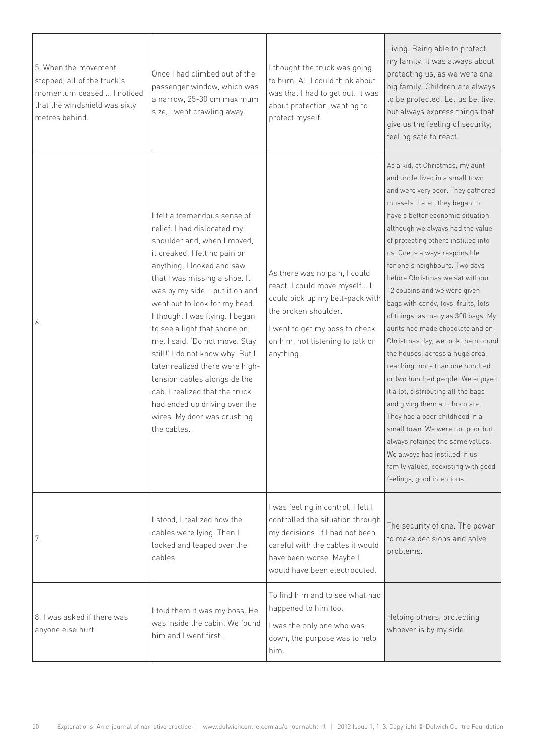| 5. When the movement<br>stopped, all of the truck's<br>momentum ceased  I noticed<br>that the windshield was sixty<br>metres behind. | Once I had climbed out of the<br>passenger window, which was<br>a narrow, 25-30 cm maximum<br>size, I went crawling away.                                                                                                                                                                                                                                                                                                                                                                                                                                                                   | I thought the truck was going<br>to burn. All I could think about<br>was that I had to get out. It was<br>about protection, wanting to<br>protect myself.                                                   | Living. Being able to protect<br>my family. It was always about<br>protecting us, as we were one<br>big family. Children are always<br>to be protected. Let us be, live,<br>but always express things that<br>give us the feeling of security,<br>feeling safe to react.                                                                                                                                                                                                                                                                                                                                                                                                                                                                                                                                                                                                                                                                               |
|--------------------------------------------------------------------------------------------------------------------------------------|---------------------------------------------------------------------------------------------------------------------------------------------------------------------------------------------------------------------------------------------------------------------------------------------------------------------------------------------------------------------------------------------------------------------------------------------------------------------------------------------------------------------------------------------------------------------------------------------|-------------------------------------------------------------------------------------------------------------------------------------------------------------------------------------------------------------|--------------------------------------------------------------------------------------------------------------------------------------------------------------------------------------------------------------------------------------------------------------------------------------------------------------------------------------------------------------------------------------------------------------------------------------------------------------------------------------------------------------------------------------------------------------------------------------------------------------------------------------------------------------------------------------------------------------------------------------------------------------------------------------------------------------------------------------------------------------------------------------------------------------------------------------------------------|
| 6.                                                                                                                                   | I felt a tremendous sense of<br>relief. I had dislocated my<br>shoulder and, when I moved,<br>it creaked. I felt no pain or<br>anything, I looked and saw<br>that I was missing a shoe. It<br>was by my side. I put it on and<br>went out to look for my head.<br>I thought I was flying. I began<br>to see a light that shone on<br>me. I said, 'Do not move. Stay<br>still!' I do not know why. But I<br>later realized there were high-<br>tension cables alongside the<br>cab. I realized that the truck<br>had ended up driving over the<br>wires. My door was crushing<br>the cables. | As there was no pain, I could<br>react. I could move myself I<br>could pick up my belt-pack with<br>the broken shoulder.<br>I went to get my boss to check<br>on him, not listening to talk or<br>anything. | As a kid, at Christmas, my aunt<br>and uncle lived in a small town<br>and were very poor. They gathered<br>mussels. Later, they began to<br>have a better economic situation.<br>although we always had the value<br>of protecting others instilled into<br>us. One is always responsible<br>for one's neighbours. Two days<br>before Christmas we sat withour<br>12 cousins and we were given<br>bags with candy, toys, fruits, lots<br>of things: as many as 300 bags. My<br>aunts had made chocolate and on<br>Christmas day, we took them round<br>the houses, across a huge area,<br>reaching more than one hundred<br>or two hundred people. We enjoyed<br>it a lot, distributing all the bags<br>and giving them all chocolate.<br>They had a poor childhood in a<br>small town. We were not poor but<br>always retained the same values.<br>We always had instilled in us<br>family values, coexisting with good<br>feelings, good intentions. |
| 7.                                                                                                                                   | I stood, I realized how the<br>cables were lying. Then I<br>looked and leaped over the<br>cables.                                                                                                                                                                                                                                                                                                                                                                                                                                                                                           | I was feeling in control, I felt I<br>controlled the situation through<br>my decisions. If I had not been<br>careful with the cables it would<br>have been worse. Maybe I<br>would have been electrocuted.  | The security of one. The power<br>to make decisions and solve<br>problems.                                                                                                                                                                                                                                                                                                                                                                                                                                                                                                                                                                                                                                                                                                                                                                                                                                                                             |
| 8. I was asked if there was<br>anyone else hurt.                                                                                     | I told them it was my boss. He<br>was inside the cabin. We found<br>him and I went first.                                                                                                                                                                                                                                                                                                                                                                                                                                                                                                   | To find him and to see what had<br>happened to him too.<br>I was the only one who was<br>down, the purpose was to help<br>him.                                                                              | Helping others, protecting<br>whoever is by my side.                                                                                                                                                                                                                                                                                                                                                                                                                                                                                                                                                                                                                                                                                                                                                                                                                                                                                                   |

 $\overline{\phantom{a}}$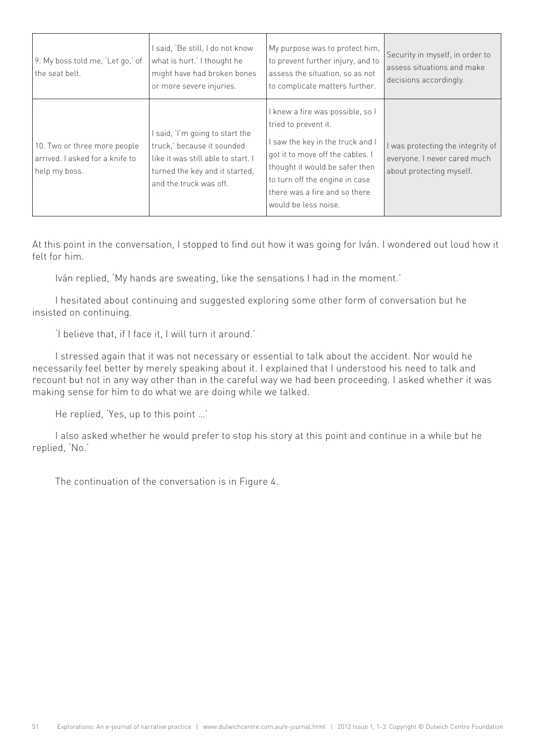| 9. My boss told me, 'Let go,' of<br>the seat belt.                               | I said, 'Be still, I do not know<br>what is hurt.' I thought he<br>might have had broken bones<br>or more severe injuries.                                     | My purpose was to protect him,<br>to prevent further injury, and to<br>assess the situation, so as not<br>to complicate matters further.                                                                                                                      | Security in myself, in order to<br>assess situations and make<br>decisions accordingly.     |
|----------------------------------------------------------------------------------|----------------------------------------------------------------------------------------------------------------------------------------------------------------|---------------------------------------------------------------------------------------------------------------------------------------------------------------------------------------------------------------------------------------------------------------|---------------------------------------------------------------------------------------------|
| 10. Two or three more people<br>arrived. I asked for a knife to<br>help my boss. | I said, I'm going to start the<br>truck,' because it sounded<br>like it was still able to start. I<br>turned the key and it started,<br>and the truck was off. | I knew a fire was possible, so I<br>tried to prevent it.<br>I saw the key in the truck and I<br>got it to move off the cables. I<br>thought it would be safer then<br>to turn off the engine in case<br>there was a fire and so there<br>would be less noise. | was protecting the integrity of<br>everyone. I never cared much<br>about protecting myself. |

At this point in the conversation, I stopped to find out how it was going for Iván. I wondered out loud how it felt for him.

Iván replied, 'My hands are sweating, like the sensations I had in the moment.'

I hesitated about continuing and suggested exploring some other form of conversation but he insisted on continuing.

'I believe that, if I face it, I will turn it around.'

I stressed again that it was not necessary or essential to talk about the accident. Nor would he necessarily feel better by merely speaking about it. I explained that I understood his need to talk and recount but not in any way other than in the careful way we had been proceeding. I asked whether it was making sense for him to do what we are doing while we talked.

He replied, 'Yes, up to this point …'

I also asked whether he would prefer to stop his story at this point and continue in a while but he replied, 'No.'

The continuation of the conversation is in Figure 4.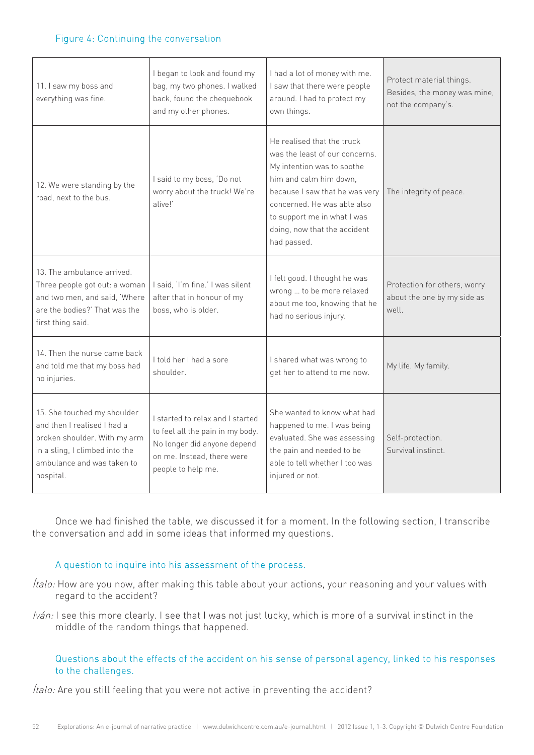#### Figure 4: Continuing the conversation

| 11. I saw my boss and<br>everything was fine.                                                                                                                           | I began to look and found my<br>bag, my two phones. I walked<br>back, found the chequebook<br>and my other phones.                                      | I had a lot of money with me.<br>I saw that there were people<br>around. I had to protect my<br>own things.                                                                                                                                                         | Protect material things.<br>Besides, the money was mine,<br>not the company's. |
|-------------------------------------------------------------------------------------------------------------------------------------------------------------------------|---------------------------------------------------------------------------------------------------------------------------------------------------------|---------------------------------------------------------------------------------------------------------------------------------------------------------------------------------------------------------------------------------------------------------------------|--------------------------------------------------------------------------------|
| 12. We were standing by the<br>road, next to the bus.                                                                                                                   | I said to my boss, 'Do not<br>worry about the truck! We're<br>alivel'                                                                                   | He realised that the truck<br>was the least of our concerns.<br>My intention was to soothe<br>him and calm him down.<br>because I saw that he was very<br>concerned. He was able also<br>to support me in what I was<br>doing, now that the accident<br>had passed. | The integrity of peace.                                                        |
| 13. The ambulance arrived.<br>Three people got out: a woman<br>and two men, and said, 'Where<br>are the bodies?' That was the<br>first thing said.                      | I said, 'I'm fine.' I was silent<br>after that in honour of my<br>boss, who is older.                                                                   | I felt good. I thought he was<br>wrong  to be more relaxed<br>about me too, knowing that he<br>had no serious injury.                                                                                                                                               | Protection for others, worry<br>about the one by my side as<br>well.           |
| 14. Then the nurse came back<br>and told me that my boss had<br>no injuries.                                                                                            | I told her I had a sore<br>shoulder.                                                                                                                    | I shared what was wrong to<br>get her to attend to me now.                                                                                                                                                                                                          | My life. My family.                                                            |
| 15. She touched my shoulder<br>and then I realised I had a<br>broken shoulder. With my arm<br>in a sling, I climbed into the<br>ambulance and was taken to<br>hospital. | I started to relax and I started<br>to feel all the pain in my body.<br>No longer did anyone depend<br>on me. Instead, there were<br>people to help me. | She wanted to know what had<br>happened to me. I was being<br>evaluated. She was assessing<br>the pain and needed to be<br>able to tell whether I too was<br>injured or not.                                                                                        | Self-protection.<br>Survival instinct.                                         |

Once we had finished the table, we discussed it for a moment. In the following section, I transcribe the conversation and add in some ideas that informed my questions.

## A question to inquire into his assessment of the process.

- $f$ talo: How are you now, after making this table about your actions, your reasoning and your values with regard to the accident?
- Iván: I see this more clearly. I see that I was not just lucky, which is more of a survival instinct in the middle of the random things that happened.

Questions about the effects of the accident on his sense of personal agency, linked to his responses to the challenges.

Ítalo: Are you still feeling that you were not active in preventing the accident?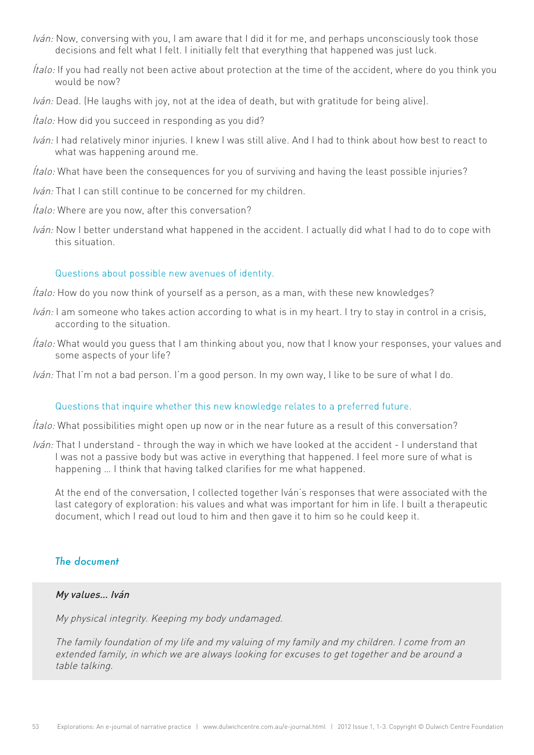- Iván: Now, conversing with you, I am aware that I did it for me, and perhaps unconsciously took those decisions and felt what I felt. I initially felt that everything that happened was just luck.
- Ítalo: If you had really not been active about protection at the time of the accident, where do you think you would be now?
- Iván: Dead. (He laughs with joy, not at the idea of death, but with gratitude for being alive).
- Ítalo: How did you succeed in responding as you did?
- Iván: I had relatively minor injuries. I knew I was still alive. And I had to think about how best to react to what was happening around me.
- Ítalo: What have been the consequences for you of surviving and having the least possible injuries?
- Iván: That I can still continue to be concerned for my children.
- Ítalo: Where are you now, after this conversation?
- Iván: Now I better understand what happened in the accident. I actually did what I had to do to cope with this situation.

#### Questions about possible new avenues of identity.

- *Ítalo:* How do you now think of yourself as a person, as a man, with these new knowledges?
- Iván: I am someone who takes action according to what is in my heart. I try to stay in control in a crisis, according to the situation.
- Ítalo: What would you guess that I am thinking about you, now that I know your responses, your values and some aspects of your life?
- Iván: That I'm not a bad person. I'm a good person. In my own way, I like to be sure of what I do.

#### Questions that inquire whether this new knowledge relates to a preferred future.

Ítalo: What possibilities might open up now or in the near future as a result of this conversation?

Iván: That I understand - through the way in which we have looked at the accident - I understand that I was not a passive body but was active in everything that happened. I feel more sure of what is happening … I think that having talked clarifies for me what happened.

At the end of the conversation, I collected together Iván's responses that were associated with the last category of exploration: his values and what was important for him in life. I built a therapeutic document, which I read out loud to him and then gave it to him so he could keep it.

## *The document*

## My values… Iván

My physical integrity. Keeping my body undamaged.

The family foundation of my life and my valuing of my family and my children. I come from an extended family, in which we are always looking for excuses to get together and be around a table talking.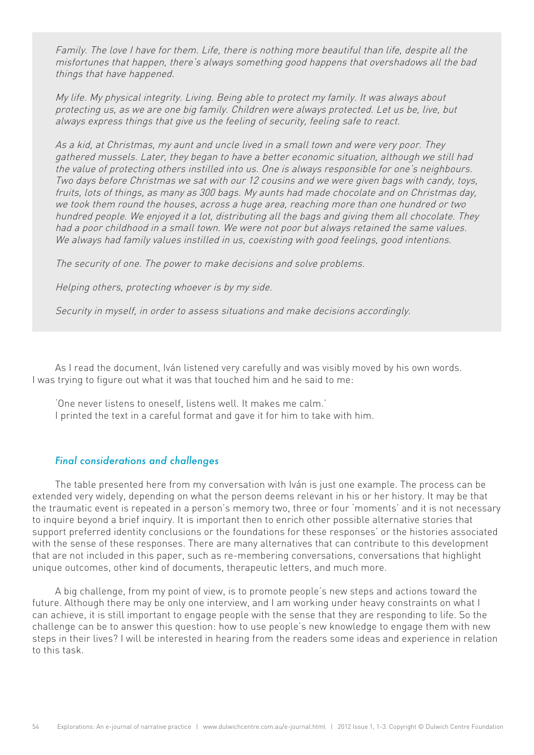Family. The love I have for them. Life, there is nothing more beautiful than life, despite all the misfortunes that happen, there's always something good happens that overshadows all the bad things that have happened.

My life. My physical integrity. Living. Being able to protect my family. It was always about protecting us, as we are one big family. Children were always protected. Let us be, live, but always express things that give us the feeling of security, feeling safe to react.

As a kid, at Christmas, my aunt and uncle lived in a small town and were very poor. They gathered mussels. Later, they began to have a better economic situation, although we still had the value of protecting others instilled into us. One is always responsible for one's neighbours. Two days before Christmas we sat with our 12 cousins and we were given bags with candy, toys, fruits, lots of things, as many as 300 bags. My aunts had made chocolate and on Christmas day, we took them round the houses, across a huge area, reaching more than one hundred or two hundred people. We enjoyed it a lot, distributing all the bags and giving them all chocolate. They had a poor childhood in a small town. We were not poor but always retained the same values. We always had family values instilled in us, coexisting with good feelings, good intentions.

The security of one. The power to make decisions and solve problems.

Helping others, protecting whoever is by my side.

Security in myself, in order to assess situations and make decisions accordingly.

As I read the document, Iván listened very carefully and was visibly moved by his own words. I was trying to figure out what it was that touched him and he said to me:

'One never listens to oneself, listens well. It makes me calm.' I printed the text in a careful format and gave it for him to take with him.

#### *Final considerations and challenges*

The table presented here from my conversation with Iván is just one example. The process can be extended very widely, depending on what the person deems relevant in his or her history. It may be that the traumatic event is repeated in a person's memory two, three or four 'moments' and it is not necessary to inquire beyond a brief inquiry. It is important then to enrich other possible alternative stories that support preferred identity conclusions or the foundations for these responses' or the histories associated with the sense of these responses. There are many alternatives that can contribute to this development that are not included in this paper, such as re-membering conversations, conversations that highlight unique outcomes, other kind of documents, therapeutic letters, and much more.

A big challenge, from my point of view, is to promote people's new steps and actions toward the future. Although there may be only one interview, and I am working under heavy constraints on what I can achieve, it is still important to engage people with the sense that they are responding to life. So the challenge can be to answer this question: how to use people's new knowledge to engage them with new steps in their lives? I will be interested in hearing from the readers some ideas and experience in relation to this task.